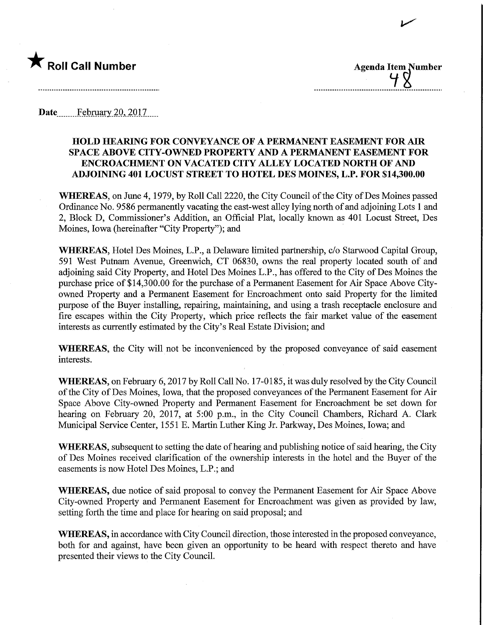

 $\overline{\phantom{a}}$ 

Date February 20, 2017

## HOLD HEARING FOR CONVEYANCE OF A PERMANENT EASEMENT FOR AIR SPACE ABOVE CITY-OWNED PROPERTY AND A PERMANENT EASEMENT FOR ENCROACHMENT ON VACATED CITY ALLEY LOCATED NORTH OF AND ADJOINING 401 LOCUST STREET TO HOTEL DES MOINES, L.P. FOR \$14,300.00

WHEREAS, on June 4, 1979, by Roll Call 2220, the City Council of the City of Des Moines passed Ordinance No. 9586 permanently vacating the east-west alley lying north of and adjoining Lots 1 and 2, Block D, Commissioner's Addition, an Official Plat, locally known as 401 Locust Street, Des Moines, Iowa (hereinafter "City Property"); and

WHEREAS, Hotel Des Moines, L.P., a Delaware limited partnership, c/o Starwood Capital Group, 591 West Putnam Avenue, Greenwich, CT 06830, owns the real property located south of and adjoining said City Property, and Hotel Des Moines L.P., has offered to the City of Des Moines the purchase price of \$14,300.00 for the purchase of a Permanent Easement for Air Space Above Cityowned Property and a Permanent Easement for Encroachment onto said Property for the limited purpose of the Buyer installing, repairing, maintaining, and using a trash receptacle enclosure and fire escapes within the City Property, which price reflects the fair market value of the easement interests as currently estimated by the City's Real Estate Division; and

WHEREAS, the City will not be inconvenienced by the proposed conveyance of said easement interests.

WHEREAS, on February 6, 2017 by Roll Call No. 17-0185, it was duly resolved by the City Council of the City of Des Moines, Iowa, that the proposed conveyances of the Permanent Easement for Air Space Above City-owned Property and Permanent Easement for Encroachment be set down for hearing on February 20, 2017, at 5:00 p.m., in the City Council Chambers, Richard A. Clark Municipal Service Center, 1551 E. Martin Luther King Jr. Parkway, Des Moines, Iowa; and

WHEREAS, subsequent to setting the date of hearing and publishing notice of said hearing, the City of Des Moines received clarification of the ownership interests in the hotel and the Buyer of the easements is now Hotel Des Moines, L.P.; and

WHEREAS, due notice of said proposal to convey the Permanent Easement for Air Space Above City-owned Property and Permanent Easement for Encroachment was given as provided by law, setting forth the time and place for hearing on said proposal; and

WHEREAS, in accordance with City Council direction, those interested in the proposed conveyance, both for and against, have been given an opportunity to be heard with respect thereto and have presented their views to the City Council.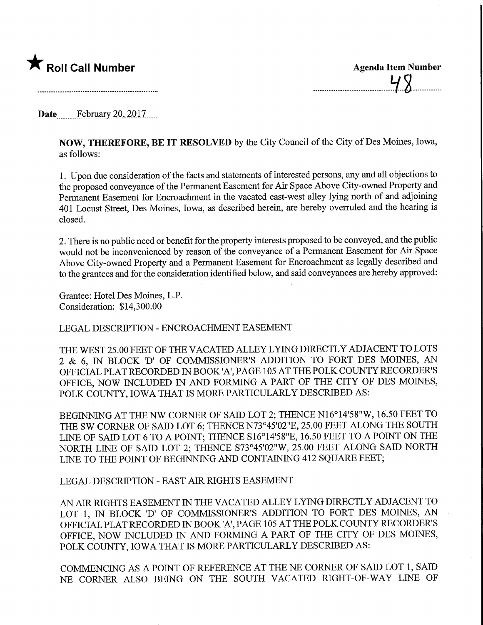

 $48$ 

## Date February 20, 2017.

NOW, THEREFORE, BE IT RESOLVED by the City Council of the City of Des Moines, Iowa, as follows:

1. Upon due consideration of the facts and statements of interested persons, any and all objections to the proposed conveyance of the Permanent Easement for Air Space Above City-owned Property and Permanent Easement for Encroachment in the vacated east-west alley lying north of and adjoining 401 Locust Street, Des Moines, Iowa, as described herein, are hereby overruled and the hearing is closed.

2. There is no public need or benefit for the property interests proposed to be conveyed, and the public would not be inconvenienced by reason of the conveyance of a Permanent Easement for Air Space Above City-owned Property and a Permanent Easement for Encroachment as legally described and to the grantees and for the consideration identified below, and said conveyances are hereby approved:

Grantee: Hotel Des Moines, L.P. Consideration: \$14,300.00

LEGAL DESCRIPTION - ENCROACHMENT EASEMENT

THE WEST 25.00 FEET OF THE VACATED ALLEY LYING DIRECTLY ADJACENT TO LOTS 2 & 6, IN BLOCK 'D' OF COMMISSIONER'S ADDITION TO FORT DES MOINES, AN OFFICIAL PLAT RECORDED IN BOOK 'A', PAGE 105 AT THE POLK COUNTY RECORDER'S OFFICE, NOW INCLUDED IN AND FORMING A PART OF THE CITY OF DES MOINES, POLK COUNTY, IOWA THAT IS MORE PARTICULARLY DESCRIBED AS:

BEGINNING AT THE NW CORNER OF SAID LOT 2; THENCE N16°14'58"W, 16.50 FEET TO THE SW CORNER OF SAID LOT 6; THENCE N73°45'02"E, 25.00 FEET ALONG THE SOUTH LINE OF SAID LOT 6 TO A POINT; THENCE S16°14'58"E, 16.50 FEET TO A POINT ON THE NORTH LINE OF SAID LOT 2; THENCE S73°45'02"W, 25.00 FEET ALONG SAID NORTH LINE TO THE POINT OF BEGINNING AND CONTAINING 412 SQUARE FEET;

LEGAL DESCRIPTION - EAST AIR MGHTS EASEMENT

AN AIR RIGHTS EASEMENT IN THE VACATED ALLEY LYING DIRECTLY ADJACENT TO LOT 1, IN BLOCK 'D' OF COMMISSIONER'S ADDITION TO FORT DES MOINES, AN OFFICIAL PLAT RECORDED IN BOOK 'A', PAGE 105 AT THE POLK COUNTY RECORDER'S OFFICE, NOW INCLUDED IN AND FORMING A PART OF THE CITY OF DES MOINES, POLK COUNTY, IOWA THAT IS MORE PARTICULARLY DESCRIBED AS:

COMMENCING AS A POINT OF REFERENCE AT THE NE CORNER OF SAID LOT 1, SAID NE CORNER ALSO BEWG ON THE SOUTH VACATED RIGHT-OF-WAY LINE OF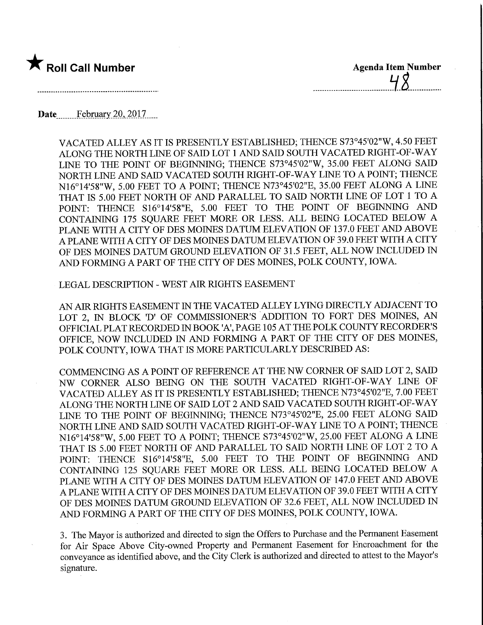

48

VACATED ALLEY AS IT IS PRESENTLY ESTABLISHED; THENCE S73°45'02"W, 4.50 FEET ALONG THE NORTH LINE OF SAID LOT 1 AND SAID SOUTH VACATED RIGHT-OF-WAY UNE TO THE POINT OF BEGINNING; THENCE S73°45'02"W, 35.00 FEET ALONG SAID NORTH LINE AND SAID VACATED SOUTH RIGHT-OF-WAY LINE TO A POINT; THENCE N16°14'58"W, 5.00 FEET TO A POINT; THENCE N73°45'02"E, 35.00 FEET ALONG A LINE THAT IS 5.00 FEET NORTH OF AND PARALLEL TO SAID NORTH LINE OF LOT 1 TO A POINT: THENCE S16°14'58"E, 5.00 FEET TO THE POINT OF BEGINNING AND CONTAINING 175 SQUARE FEET MORE OR LESS. ALL BEING LOCATED BELOW A PLANE WITH A CITY OF DES MOINES DATUM ELEVATION OF 137.0 FEET AND ABOVE A PLANE WITH A CITY OF DES MOINES DATUM ELEVATION OF 39.0 FEET WITH A CITY OF DES MOINES DATUM GROUND ELEVATION OF 31.5 FEET, ALL NOW INCLUDED IN AND FORMING A PART OF THE CITY OF DES MOINES, POLK COUNTY, IOWA.

LEGAL DESCRIPTION - WEST AIR RIGHTS EASEMENT

AN AIR RIGHTS EASEMENT IN THE VACATED ALLEY LYING DIRECTLY ADJACENT TO LOT 2, IN BLOCK 'D' OF COMMISSIONER'S ADDITION TO FORT DES MOINES, AN OFFICIAL PLAT RECORDED IN BOOK 'A', PAGE 105 AT THE POLK COUNTY RECORDER'S OFFICE, NOW INCLUDED IN AND FORMING A PART OF THE CITY OF DES MOINES, POLK COUNTY, IOWA THAT IS MORE PARTICULARLY DESCRIBED AS:

COMMENCING AS A POINT OF REFERENCE AT THE NW CORNER OF SAID LOT 2, SAID NW CORNER ALSO BEING ON THE SOUTH VACATED RIGHT-OF-WAY LINE OF VACATED ALLEY AS IT IS PRESENTLY ESTABLISHED; THENCE N73°45'02"E, 7.00 FEET ALONG THE NORTH LINE OF SAID LOT 2 AND SAID VACATED SOUTH RIGHT-OF-WAY LINE TO THE POINT OF BEGINNING; THENCE N73°45'02"E, 25.00 FEET ALONG SAID NORTH LINE AND SAID SOUTH VACATED RIGHT-OF-WAY LINE TO A POINT; THENCE N16°14'58"W, 5.00 FEET TO A POINT; THENCE S73°45'02"W, 25.00 FEET ALONG A LINE THAT IS 5.00 FEET NORTH OF AND PARALLEL TO SAID NORTH LINE OF LOT 2 TO A POINT: THENCE S16°14'58"E, 5.00 FEET TO THE POINT OF BEGINNING AND CONTAINING 125 SQUARE FEET MORE OR LESS. ALL BEING LOCATED BELOW A PLANE WITH A CITY OF DES MOINES DATUM ELEVATION OF 147.0 FEET AND ABOVE A PLANE WITH A CITY OF DES MOINES DATUM ELEVATION OF 39.0 FEET WITH A CITY OF DES MOINES DATUM GROUND ELEVATION OF 32.6 FEET, ALL NOW INCLUDED IN AND FORMING A PART OF THE CITY OF DES MOINES, POLK COUNTY, IOWA.

3. The Mayor is authorized and directed to sign the Offers to Purchase and the Permanent Easement for Air Space Above City-owned Property and Permanent Easement for Encroachment for the conveyance as identified above, and the City Clerk is authorized and directed to attest to the Mayor's signature.